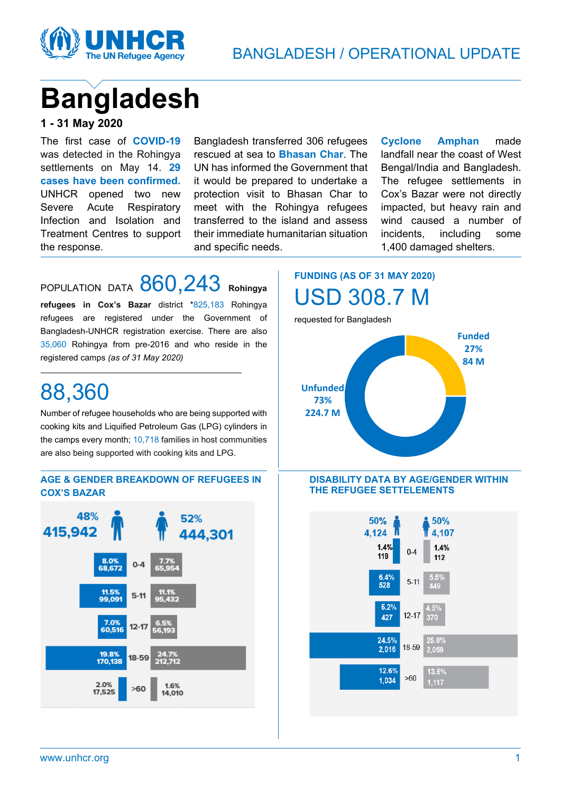

# **Bangladesh**

#### **1 - 31 May 2020**

The first case of **COVID-19**  was detected in the Rohingya settlements on May 14. **29 cases have been confirmed.**  UNHCR opened two new Severe Acute Respiratory Infection and Isolation and Treatment Centres to support the response.

Bangladesh transferred 306 refugees rescued at sea to **Bhasan Char**. The UN has informed the Government that it would be prepared to undertake a protection visit to Bhasan Char to meet with the Rohingya refugees transferred to the island and assess their immediate humanitarian situation and specific needs.

**Cyclone Amphan** made landfall near the coast of West Bengal/India and Bangladesh. The refugee settlements in Cox's Bazar were not directly impacted, but heavy rain and wind caused a number of incidents, including some 1,400 damaged shelters.

# POPULATION DATA 860,243 **Rohingya**

**refugees in Cox's Bazar** district \*825,183 Rohingya refugees are registered under the Government of Bangladesh-UNHCR registration exercise. There are also 35,060 Rohingya from pre-2016 and who reside in the registered camps *(as of 31 May 2020)*

# 88,360

Number of refugee households who are being supported with cooking kits and Liquified Petroleum Gas (LPG) cylinders in the camps every month; 10,718 families in host communities are also being supported with cooking kits and LPG.

#### **AGE & GENDER BREAKDOWN OF REFUGEES IN COX'S BAZAR**



**FUNDING (AS OF 31 MAY 2020)** USD 308.7 M

requested for Bangladesh



#### **DISABILITY DATA BY AGE/GENDER WITHIN THE REFUGEE SETTELEMENTS**

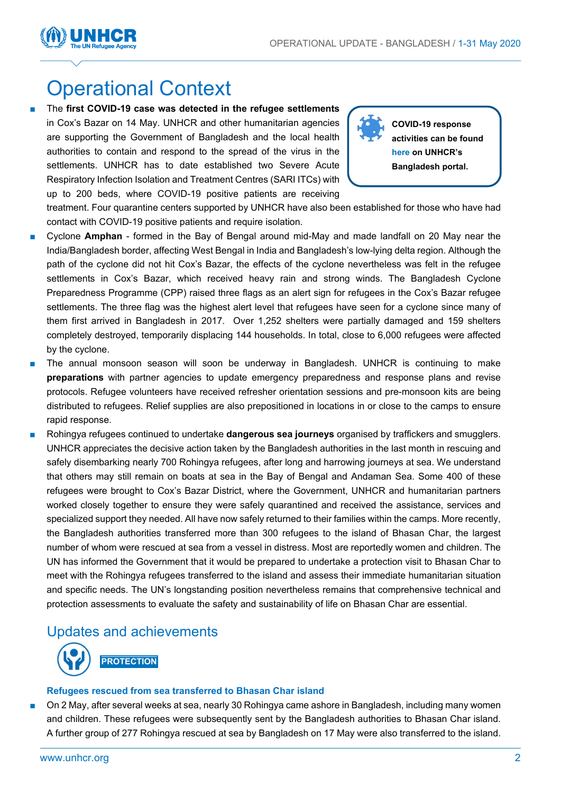

# Operational Context

The first COVID-19 case was detected in the refugee settlements in Cox's Bazar on 14 May. UNHCR and other humanitarian agencies are supporting the Government of Bangladesh and the local health authorities to contain and respond to the spread of the virus in the settlements. UNHCR has to date established two Severe Acute Respiratory Infection Isolation and Treatment Centres (SARI ITCs) with up to 200 beds, where COVID-19 positive patients are receiving

![](_page_1_Picture_4.jpeg)

**COVID-19 response activities can be found [here](https://data2.unhcr.org/en/situations/myanmar_refugees) on UNHCR's Bangladesh portal.**

treatment. Four quarantine centers supported by UNHCR have also been established for those who have had contact with COVID-19 positive patients and require isolation.

- Cyclone Amphan formed in the Bay of Bengal around mid-May and made landfall on 20 May near the India/Bangladesh border, affecting West Bengal in India and Bangladesh's low-lying delta region. Although the path of the cyclone did not hit Cox's Bazar, the effects of the cyclone nevertheless was felt in the refugee settlements in Cox's Bazar, which received heavy rain and strong winds. The Bangladesh Cyclone Preparedness Programme (CPP) raised three flags as an alert sign for refugees in the Cox's Bazar refugee settlements. The three flag was the highest alert level that refugees have seen for a cyclone since many of them first arrived in Bangladesh in 2017. Over 1,252 shelters were partially damaged and 159 shelters completely destroyed, temporarily displacing 144 households. In total, close to 6,000 refugees were affected by the cyclone.
- The annual monsoon season will soon be underway in Bangladesh. UNHCR is continuing to make **preparations** with partner agencies to update emergency preparedness and response plans and revise protocols. Refugee volunteers have received refresher orientation sessions and pre-monsoon kits are being distributed to refugees. Relief supplies are also prepositioned in locations in or close to the camps to ensure rapid response.
- Rohingya refugees continued to undertake **dangerous sea journeys** organised by traffickers and smugglers. UNHCR appreciates the decisive action taken by the Bangladesh authorities in the last month in rescuing and safely disembarking nearly 700 Rohingya refugees, after long and harrowing journeys at sea. We understand that others may still remain on boats at sea in the Bay of Bengal and Andaman Sea. Some 400 of these refugees were brought to Cox's Bazar District, where the Government, UNHCR and humanitarian partners worked closely together to ensure they were safely quarantined and received the assistance, services and specialized support they needed. All have now safely returned to their families within the camps. More recently, the Bangladesh authorities transferred more than 300 refugees to the island of Bhasan Char, the largest number of whom were rescued at sea from a vessel in distress. Most are reportedly women and children. The UN has informed the Government that it would be prepared to undertake a protection visit to Bhasan Char to meet with the Rohingya refugees transferred to the island and assess their immediate humanitarian situation and specific needs. The UN's longstanding position nevertheless remains that comprehensive technical and protection assessments to evaluate the safety and sustainability of life on Bhasan Char are essential.

### Updates and achievements

![](_page_1_Picture_11.jpeg)

#### **Refugees rescued from sea transferred to Bhasan Char island**

On 2 May, after several weeks at sea, nearly 30 Rohingya came ashore in Bangladesh, including many women and children. These refugees were subsequently sent by the Bangladesh authorities to Bhasan Char island. A further group of 277 Rohingya rescued at sea by Bangladesh on 17 May were also transferred to the island.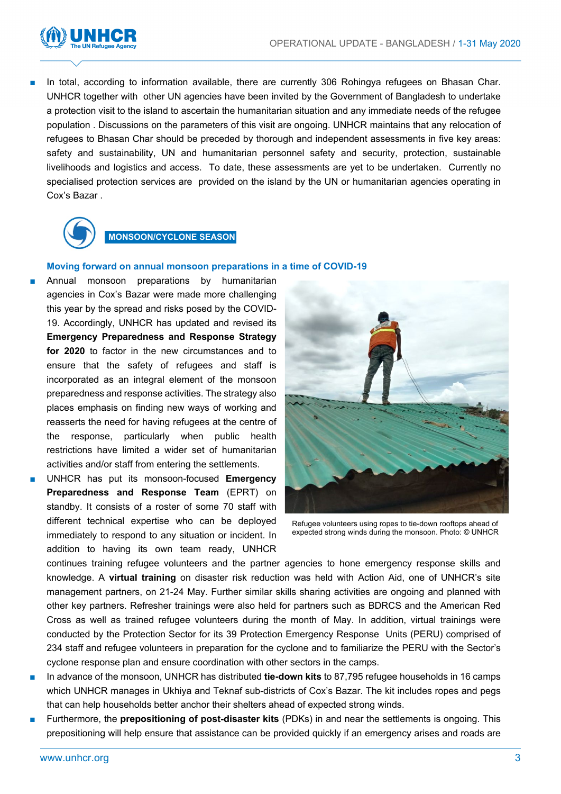![](_page_2_Picture_1.jpeg)

In total, according to information available, there are currently 306 Rohingya refugees on Bhasan Char. UNHCR together with other UN agencies have been invited by the Government of Bangladesh to undertake a protection visit to the island to ascertain the humanitarian situation and any immediate needs of the refugee population . Discussions on the parameters of this visit are ongoing. UNHCR maintains that any relocation of refugees to Bhasan Char should be preceded by thorough and independent assessments in five key areas: safety and sustainability, UN and humanitarian personnel safety and security, protection, sustainable livelihoods and logistics and access. To date, these assessments are yet to be undertaken. Currently no specialised protection services are provided on the island by the UN or humanitarian agencies operating in Cox's Bazar .

![](_page_2_Picture_3.jpeg)

#### **MONSOON/CYCLONE SEASON**

#### **Moving forward on annual monsoon preparations in a time of COVID-19**

- Annual monsoon preparations by humanitarian agencies in Cox's Bazar were made more challenging this year by the spread and risks posed by the COVID-19. Accordingly, UNHCR has updated and revised its **Emergency Preparedness and Response Strategy for 2020** to factor in the new circumstances and to ensure that the safety of refugees and staff is incorporated as an integral element of the monsoon preparedness and response activities. The strategy also places emphasis on finding new ways of working and reasserts the need for having refugees at the centre of the response, particularly when public health restrictions have limited a wider set of humanitarian activities and/or staff from entering the settlements.
- UNHCR has put its monsoon-focused **Emergency Preparedness and Response Team** (EPRT) on standby. It consists of a roster of some 70 staff with different technical expertise who can be deployed immediately to respond to any situation or incident. In addition to having its own team ready, UNHCR

![](_page_2_Picture_8.jpeg)

Refugee volunteers using ropes to tie-down rooftops ahead of expected strong winds during the monsoon. Photo: © UNHCR

continues training refugee volunteers and the partner agencies to hone emergency response skills and knowledge. A **virtual training** on disaster risk reduction was held with Action Aid, one of UNHCR's site management partners, on 21-24 May. Further similar skills sharing activities are ongoing and planned with other key partners. Refresher trainings were also held for partners such as BDRCS and the American Red Cross as well as trained refugee volunteers during the month of May. In addition, virtual trainings were conducted by the Protection Sector for its 39 Protection Emergency Response Units (PERU) comprised of 234 staff and refugee volunteers in preparation for the cyclone and to familiarize the PERU with the Sector's cyclone response plan and ensure coordination with other sectors in the camps.

- In advance of the monsoon, UNHCR has distributed **tie-down kits** to 87,795 refugee households in 16 camps which UNHCR manages in Ukhiya and Teknaf sub-districts of Cox's Bazar. The kit includes ropes and pegs that can help households better anchor their shelters ahead of expected strong winds.
- Furthermore, the **prepositioning of post-disaster kits** (PDKs) in and near the settlements is ongoing. This prepositioning will help ensure that assistance can be provided quickly if an emergency arises and roads are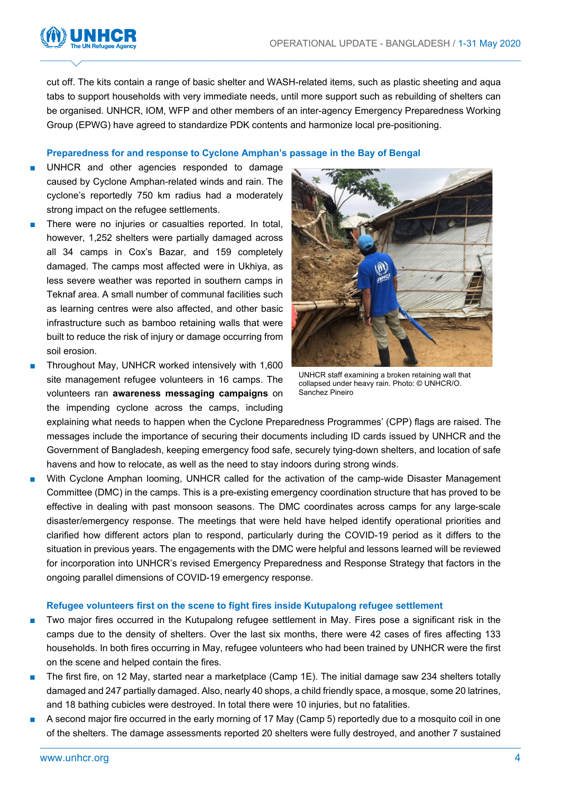![](_page_3_Picture_1.jpeg)

cut off. The kits contain a range of basic shelter and WASH-related items, such as plastic sheeting and aqua tabs to support households with very immediate needs, until more support such as rebuilding of shelters can be organised. UNHCR, IOM, WFP and other members of an inter-agency Emergency Preparedness Working Group (EPWG) have agreed to standardize PDK contents and harmonize local pre-positioning.

#### **Preparedness for and response to Cyclone Amphan's passage in the Bay of Bengal**

- UNHCR and other agencies responded to damage caused by Cyclone Amphan-related winds and rain. The cyclone's reportedly 750 km radius had a moderately strong impact on the refugee settlements.
- There were no injuries or casualties reported. In total, however, 1,252 shelters were partially damaged across all 34 camps in Cox's Bazar, and 159 completely damaged. The camps most affected were in Ukhiya, as less severe weather was reported in southern camps in Teknaf area. A small number of communal facilities such as learning centres were also affected, and other basic infrastructure such as bamboo retaining walls that were built to reduce the risk of injury or damage occurring from soil erosion.
- Throughout May, UNHCR worked intensively with 1,600 site management refugee volunteers in 16 camps. The volunteers ran **awareness messaging campaigns** on the impending cyclone across the camps, including

![](_page_3_Picture_7.jpeg)

UNHCR staff examining a broken retaining wall that collapsed under heavy rain. Photo: © UNHCR/O. Sanchez Pineiro

explaining what needs to happen when the Cyclone Preparedness Programmes' (CPP) flags are raised. The messages include the importance of securing their documents including ID cards issued by UNHCR and the Government of Bangladesh, keeping emergency food safe, securely tying-down shelters, and location of safe havens and how to relocate, as well as the need to stay indoors during strong winds.

With Cyclone Amphan looming, UNHCR called for the activation of the camp-wide Disaster Management Committee (DMC) in the camps. This is a pre-existing emergency coordination structure that has proved to be effective in dealing with past monsoon seasons. The DMC coordinates across camps for any large-scale disaster/emergency response. The meetings that were held have helped identify operational priorities and clarified how different actors plan to respond, particularly during the COVID-19 period as it differs to the situation in previous years. The engagements with the DMC were helpful and lessons learned will be reviewed for incorporation into UNHCR's revised Emergency Preparedness and Response Strategy that factors in the ongoing parallel dimensions of COVID-19 emergency response.

#### **Refugee volunteers first on the scene to fight fires inside Kutupalong refugee settlement**

- Two major fires occurred in the Kutupalong refugee settlement in May. Fires pose a significant risk in the camps due to the density of shelters. Over the last six months, there were 42 cases of fires affecting 133 households. In both fires occurring in May, refugee volunteers who had been trained by UNHCR were the first on the scene and helped contain the fires.
- The first fire, on 12 May, started near a marketplace (Camp 1E). The initial damage saw 234 shelters totally damaged and 247 partially damaged. Also, nearly 40 shops, a child friendly space, a mosque, some 20 latrines, and 18 bathing cubicles were destroyed. In total there were 10 injuries, but no fatalities.
- A second major fire occurred in the early morning of 17 May (Camp 5) reportedly due to a mosquito coil in one of the shelters. The damage assessments reported 20 shelters were fully destroyed, and another 7 sustained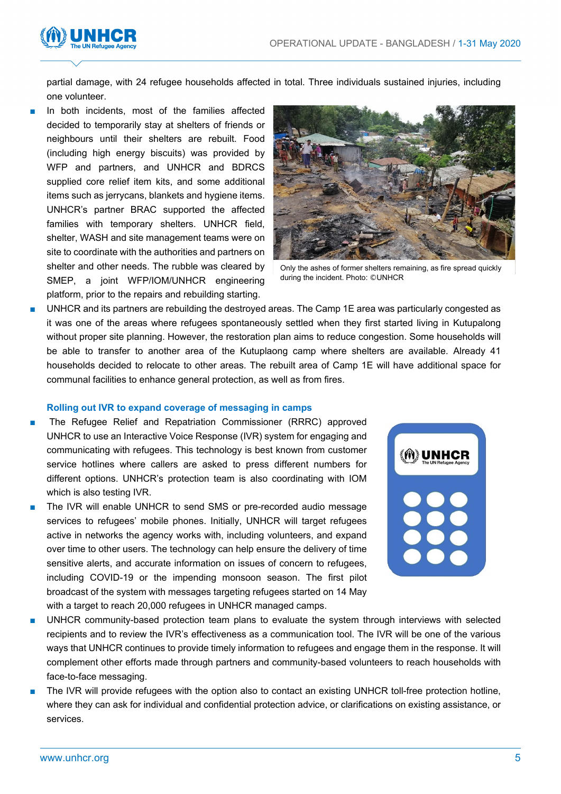![](_page_4_Picture_1.jpeg)

partial damage, with 24 refugee households affected in total. Three individuals sustained injuries, including one volunteer.

In both incidents, most of the families affected decided to temporarily stay at shelters of friends or neighbours until their shelters are rebuilt. Food (including high energy biscuits) was provided by WFP and partners, and UNHCR and BDRCS supplied core relief item kits, and some additional items such as jerrycans, blankets and hygiene items. UNHCR's partner BRAC supported the affected families with temporary shelters. UNHCR field, shelter, WASH and site management teams were on site to coordinate with the authorities and partners on shelter and other needs. The rubble was cleared by SMEP, a joint WFP/IOM/UNHCR engineering platform, prior to the repairs and rebuilding starting.

![](_page_4_Picture_4.jpeg)

Only the ashes of former shelters remaining, as fire spread quickly during the incident. Photo: ©UNHCR

UNHCR and its partners are rebuilding the destroyed areas. The Camp 1E area was particularly congested as it was one of the areas where refugees spontaneously settled when they first started living in Kutupalong without proper site planning. However, the restoration plan aims to reduce congestion. Some households will be able to transfer to another area of the Kutuplaong camp where shelters are available. Already 41 households decided to relocate to other areas. The rebuilt area of Camp 1E will have additional space for communal facilities to enhance general protection, as well as from fires.

#### **Rolling out IVR to expand coverage of messaging in camps**

- The Refugee Relief and Repatriation Commissioner (RRRC) approved UNHCR to use an Interactive Voice Response (IVR) system for engaging and communicating with refugees. This technology is best known from customer service hotlines where callers are asked to press different numbers for different options. UNHCR's protection team is also coordinating with IOM which is also testing IVR.
- The IVR will enable UNHCR to send SMS or pre-recorded audio message services to refugees' mobile phones. Initially, UNHCR will target refugees active in networks the agency works with, including volunteers, and expand over time to other users. The technology can help ensure the delivery of time sensitive alerts, and accurate information on issues of concern to refugees, including COVID-19 or the impending monsoon season. The first pilot broadcast of the system with messages targeting refugees started on 14 May with a target to reach 20,000 refugees in UNHCR managed camps.

![](_page_4_Picture_10.jpeg)

- UNHCR community-based protection team plans to evaluate the system through interviews with selected recipients and to review the IVR's effectiveness as a communication tool. The IVR will be one of the various ways that UNHCR continues to provide timely information to refugees and engage them in the response. It will complement other efforts made through partners and community-based volunteers to reach households with face-to-face messaging.
- The IVR will provide refugees with the option also to contact an existing UNHCR toll-free protection hotline, where they can ask for individual and confidential protection advice, or clarifications on existing assistance, or services.